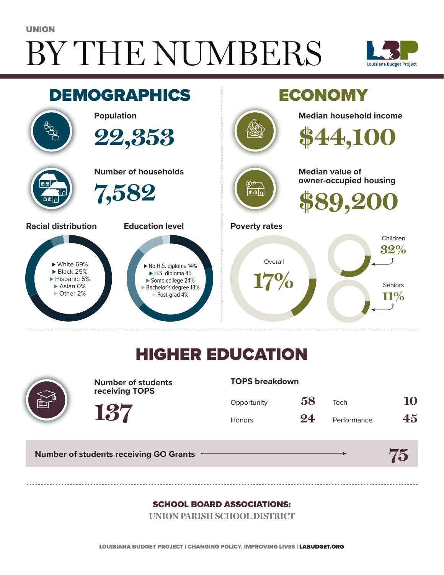# BY THE NUMBERS UNION





## HIGHER EDUCATION



**Number of students receiving TOPS**

#### **TOPS breakdown**

| Opportunity   | 58 | Tech        | 10 |
|---------------|----|-------------|----|
| <b>Honors</b> | 24 | Performance | 45 |

**Number of students receiving GO Grants**

**137**

#### **75**

#### SCHOOL BOARD ASSOCIATIONS:

**UNION PARISH SCHOOL DISTRICT**